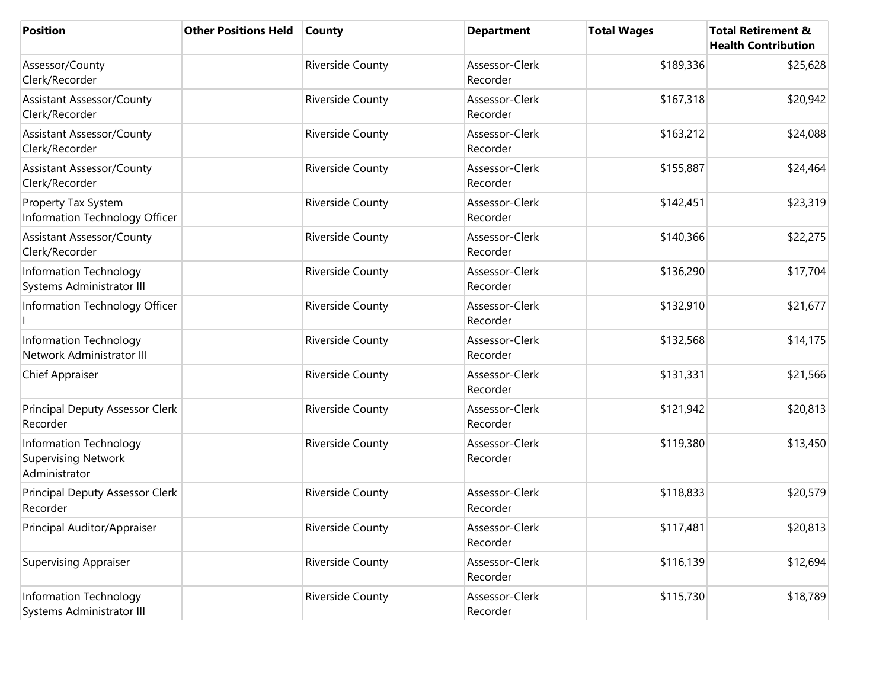| <b>Position</b>                                                       | <b>Other Positions Held</b> | <b>County</b>           | <b>Department</b>          | <b>Total Wages</b> | <b>Total Retirement &amp;</b><br><b>Health Contribution</b> |
|-----------------------------------------------------------------------|-----------------------------|-------------------------|----------------------------|--------------------|-------------------------------------------------------------|
| Assessor/County<br>Clerk/Recorder                                     |                             | <b>Riverside County</b> | Assessor-Clerk<br>Recorder | \$189,336          | \$25,628                                                    |
| <b>Assistant Assessor/County</b><br>Clerk/Recorder                    |                             | <b>Riverside County</b> | Assessor-Clerk<br>Recorder | \$167,318          | \$20,942                                                    |
| <b>Assistant Assessor/County</b><br>Clerk/Recorder                    |                             | <b>Riverside County</b> | Assessor-Clerk<br>Recorder | \$163,212          | \$24,088                                                    |
| Assistant Assessor/County<br>Clerk/Recorder                           |                             | <b>Riverside County</b> | Assessor-Clerk<br>Recorder | \$155,887          | \$24,464                                                    |
| Property Tax System<br>Information Technology Officer                 |                             | <b>Riverside County</b> | Assessor-Clerk<br>Recorder | \$142,451          | \$23,319                                                    |
| Assistant Assessor/County<br>Clerk/Recorder                           |                             | Riverside County        | Assessor-Clerk<br>Recorder | \$140,366          | \$22,275                                                    |
| Information Technology<br>Systems Administrator III                   |                             | <b>Riverside County</b> | Assessor-Clerk<br>Recorder | \$136,290          | \$17,704                                                    |
| Information Technology Officer                                        |                             | Riverside County        | Assessor-Clerk<br>Recorder | \$132,910          | \$21,677                                                    |
| Information Technology<br>Network Administrator III                   |                             | <b>Riverside County</b> | Assessor-Clerk<br>Recorder | \$132,568          | \$14,175                                                    |
| Chief Appraiser                                                       |                             | <b>Riverside County</b> | Assessor-Clerk<br>Recorder | \$131,331          | \$21,566                                                    |
| Principal Deputy Assessor Clerk<br>Recorder                           |                             | <b>Riverside County</b> | Assessor-Clerk<br>Recorder | \$121,942          | \$20,813                                                    |
| Information Technology<br><b>Supervising Network</b><br>Administrator |                             | <b>Riverside County</b> | Assessor-Clerk<br>Recorder | \$119,380          | \$13,450                                                    |
| Principal Deputy Assessor Clerk<br>Recorder                           |                             | Riverside County        | Assessor-Clerk<br>Recorder | \$118,833          | \$20,579                                                    |
| Principal Auditor/Appraiser                                           |                             | <b>Riverside County</b> | Assessor-Clerk<br>Recorder | \$117,481          | \$20,813                                                    |
| <b>Supervising Appraiser</b>                                          |                             | Riverside County        | Assessor-Clerk<br>Recorder | \$116,139          | \$12,694                                                    |
| <b>Information Technology</b><br>Systems Administrator III            |                             | Riverside County        | Assessor-Clerk<br>Recorder | \$115,730          | \$18,789                                                    |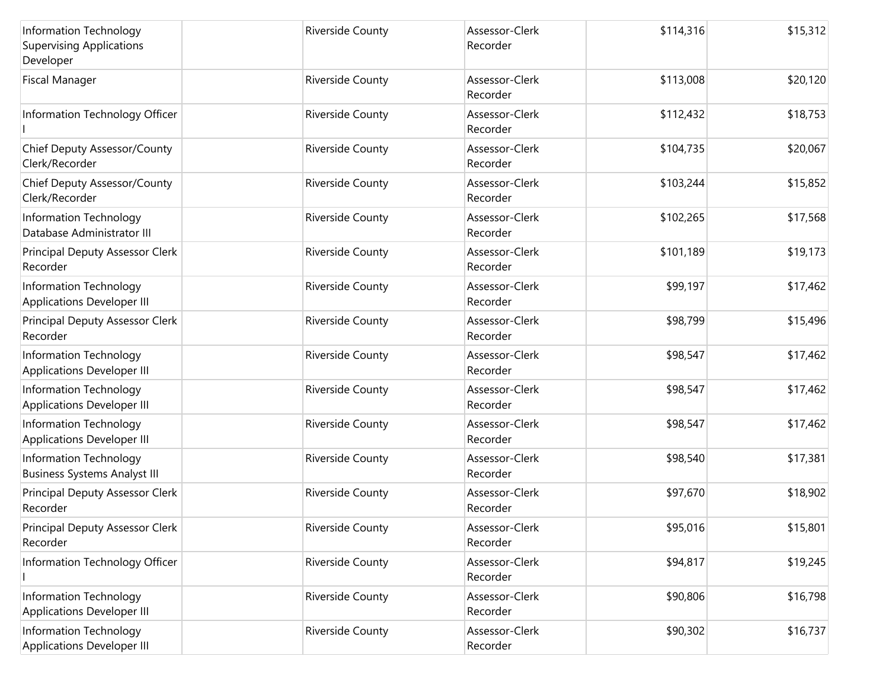| Information Technology<br><b>Supervising Applications</b><br>Developer | <b>Riverside County</b> | Assessor-Clerk<br>Recorder | \$114,316 | \$15,312 |
|------------------------------------------------------------------------|-------------------------|----------------------------|-----------|----------|
| <b>Fiscal Manager</b>                                                  | <b>Riverside County</b> | Assessor-Clerk<br>Recorder | \$113,008 | \$20,120 |
| Information Technology Officer                                         | Riverside County        | Assessor-Clerk<br>Recorder | \$112,432 | \$18,753 |
| Chief Deputy Assessor/County<br>Clerk/Recorder                         | Riverside County        | Assessor-Clerk<br>Recorder | \$104,735 | \$20,067 |
| Chief Deputy Assessor/County<br>Clerk/Recorder                         | <b>Riverside County</b> | Assessor-Clerk<br>Recorder | \$103,244 | \$15,852 |
| Information Technology<br>Database Administrator III                   | Riverside County        | Assessor-Clerk<br>Recorder | \$102,265 | \$17,568 |
| Principal Deputy Assessor Clerk<br>Recorder                            | <b>Riverside County</b> | Assessor-Clerk<br>Recorder | \$101,189 | \$19,173 |
| Information Technology<br><b>Applications Developer III</b>            | <b>Riverside County</b> | Assessor-Clerk<br>Recorder | \$99,197  | \$17,462 |
| <b>Principal Deputy Assessor Clerk</b><br>Recorder                     | <b>Riverside County</b> | Assessor-Clerk<br>Recorder | \$98,799  | \$15,496 |
| Information Technology<br><b>Applications Developer III</b>            | Riverside County        | Assessor-Clerk<br>Recorder | \$98,547  | \$17,462 |
| Information Technology<br><b>Applications Developer III</b>            | Riverside County        | Assessor-Clerk<br>Recorder | \$98,547  | \$17,462 |
| Information Technology<br><b>Applications Developer III</b>            | <b>Riverside County</b> | Assessor-Clerk<br>Recorder | \$98,547  | \$17,462 |
| Information Technology<br><b>Business Systems Analyst III</b>          | Riverside County        | Assessor-Clerk<br>Recorder | \$98,540  | \$17,381 |
| Principal Deputy Assessor Clerk<br>Recorder                            | Riverside County        | Assessor-Clerk<br>Recorder | \$97,670  | \$18,902 |
| Principal Deputy Assessor Clerk<br>Recorder                            | Riverside County        | Assessor-Clerk<br>Recorder | \$95,016  | \$15,801 |
| Information Technology Officer                                         | Riverside County        | Assessor-Clerk<br>Recorder | \$94,817  | \$19,245 |
| Information Technology<br><b>Applications Developer III</b>            | Riverside County        | Assessor-Clerk<br>Recorder | \$90,806  | \$16,798 |
| Information Technology<br><b>Applications Developer III</b>            | Riverside County        | Assessor-Clerk<br>Recorder | \$90,302  | \$16,737 |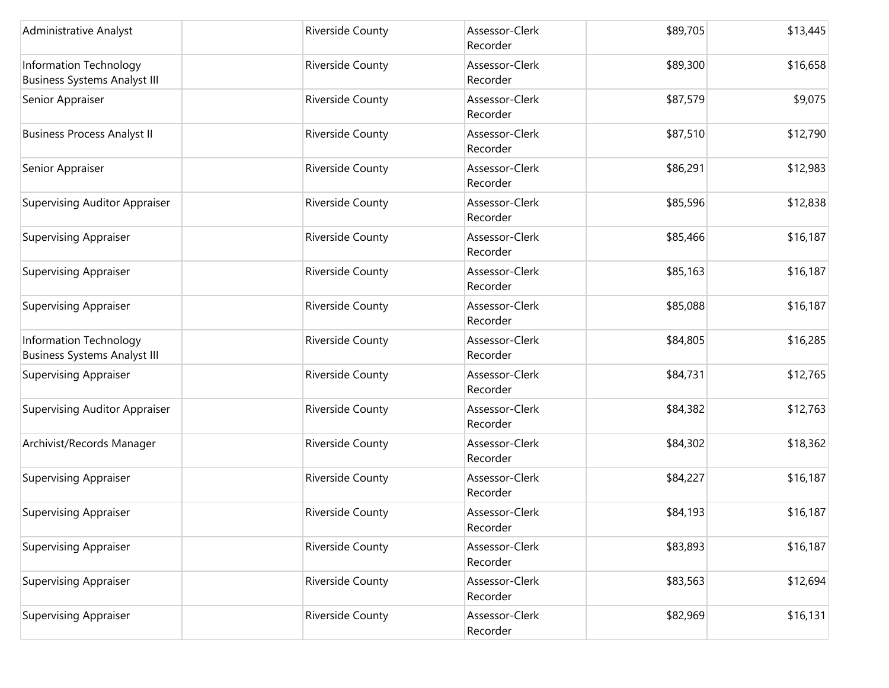| Administrative Analyst                                        | Riverside County        | Assessor-Clerk<br>Recorder | \$89,705 | \$13,445 |
|---------------------------------------------------------------|-------------------------|----------------------------|----------|----------|
| Information Technology<br><b>Business Systems Analyst III</b> | <b>Riverside County</b> | Assessor-Clerk<br>Recorder | \$89,300 | \$16,658 |
| Senior Appraiser                                              | Riverside County        | Assessor-Clerk<br>Recorder | \$87,579 | \$9,075  |
| <b>Business Process Analyst II</b>                            | Riverside County        | Assessor-Clerk<br>Recorder | \$87,510 | \$12,790 |
| Senior Appraiser                                              | Riverside County        | Assessor-Clerk<br>Recorder | \$86,291 | \$12,983 |
| <b>Supervising Auditor Appraiser</b>                          | Riverside County        | Assessor-Clerk<br>Recorder | \$85,596 | \$12,838 |
| <b>Supervising Appraiser</b>                                  | <b>Riverside County</b> | Assessor-Clerk<br>Recorder | \$85,466 | \$16,187 |
| <b>Supervising Appraiser</b>                                  | <b>Riverside County</b> | Assessor-Clerk<br>Recorder | \$85,163 | \$16,187 |
| <b>Supervising Appraiser</b>                                  | <b>Riverside County</b> | Assessor-Clerk<br>Recorder | \$85,088 | \$16,187 |
| Information Technology<br><b>Business Systems Analyst III</b> | Riverside County        | Assessor-Clerk<br>Recorder | \$84,805 | \$16,285 |
| <b>Supervising Appraiser</b>                                  | <b>Riverside County</b> | Assessor-Clerk<br>Recorder | \$84,731 | \$12,765 |
| <b>Supervising Auditor Appraiser</b>                          | Riverside County        | Assessor-Clerk<br>Recorder | \$84,382 | \$12,763 |
| Archivist/Records Manager                                     | Riverside County        | Assessor-Clerk<br>Recorder | \$84,302 | \$18,362 |
| <b>Supervising Appraiser</b>                                  | Riverside County        | Assessor-Clerk<br>Recorder | \$84,227 | \$16,187 |
| <b>Supervising Appraiser</b>                                  | Riverside County        | Assessor-Clerk<br>Recorder | \$84,193 | \$16,187 |
| <b>Supervising Appraiser</b>                                  | Riverside County        | Assessor-Clerk<br>Recorder | \$83,893 | \$16,187 |
| <b>Supervising Appraiser</b>                                  | Riverside County        | Assessor-Clerk<br>Recorder | \$83,563 | \$12,694 |
| <b>Supervising Appraiser</b>                                  | Riverside County        | Assessor-Clerk<br>Recorder | \$82,969 | \$16,131 |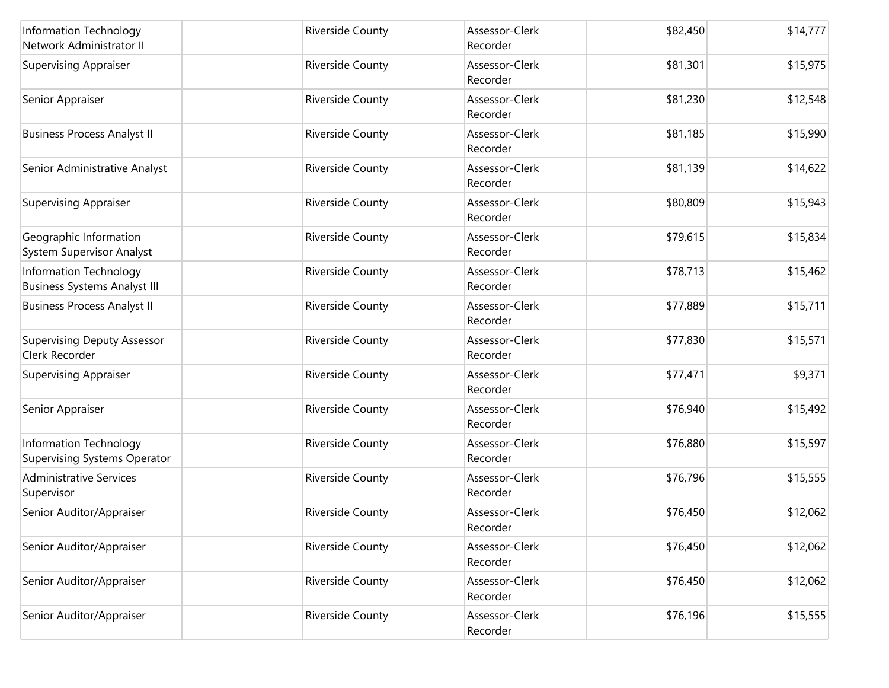| Information Technology<br>Network Administrator II            | <b>Riverside County</b> | Assessor-Clerk<br>Recorder | \$82,450 | \$14,777 |
|---------------------------------------------------------------|-------------------------|----------------------------|----------|----------|
| <b>Supervising Appraiser</b>                                  | Riverside County        | Assessor-Clerk<br>Recorder | \$81,301 | \$15,975 |
| Senior Appraiser                                              | Riverside County        | Assessor-Clerk<br>Recorder | \$81,230 | \$12,548 |
| <b>Business Process Analyst II</b>                            | Riverside County        | Assessor-Clerk<br>Recorder | \$81,185 | \$15,990 |
| Senior Administrative Analyst                                 | Riverside County        | Assessor-Clerk<br>Recorder | \$81,139 | \$14,622 |
| <b>Supervising Appraiser</b>                                  | Riverside County        | Assessor-Clerk<br>Recorder | \$80,809 | \$15,943 |
| Geographic Information<br>System Supervisor Analyst           | Riverside County        | Assessor-Clerk<br>Recorder | \$79,615 | \$15,834 |
| Information Technology<br><b>Business Systems Analyst III</b> | Riverside County        | Assessor-Clerk<br>Recorder | \$78,713 | \$15,462 |
| <b>Business Process Analyst II</b>                            | Riverside County        | Assessor-Clerk<br>Recorder | \$77,889 | \$15,711 |
| <b>Supervising Deputy Assessor</b><br>Clerk Recorder          | Riverside County        | Assessor-Clerk<br>Recorder | \$77,830 | \$15,571 |
| <b>Supervising Appraiser</b>                                  | <b>Riverside County</b> | Assessor-Clerk<br>Recorder | \$77,471 | \$9,371  |
| Senior Appraiser                                              | Riverside County        | Assessor-Clerk<br>Recorder | \$76,940 | \$15,492 |
| Information Technology<br><b>Supervising Systems Operator</b> | Riverside County        | Assessor-Clerk<br>Recorder | \$76,880 | \$15,597 |
| <b>Administrative Services</b><br>Supervisor                  | Riverside County        | Assessor-Clerk<br>Recorder | \$76,796 | \$15,555 |
| Senior Auditor/Appraiser                                      | Riverside County        | Assessor-Clerk<br>Recorder | \$76,450 | \$12,062 |
| Senior Auditor/Appraiser                                      | Riverside County        | Assessor-Clerk<br>Recorder | \$76,450 | \$12,062 |
| Senior Auditor/Appraiser                                      | Riverside County        | Assessor-Clerk<br>Recorder | \$76,450 | \$12,062 |
| Senior Auditor/Appraiser                                      | Riverside County        | Assessor-Clerk<br>Recorder | \$76,196 | \$15,555 |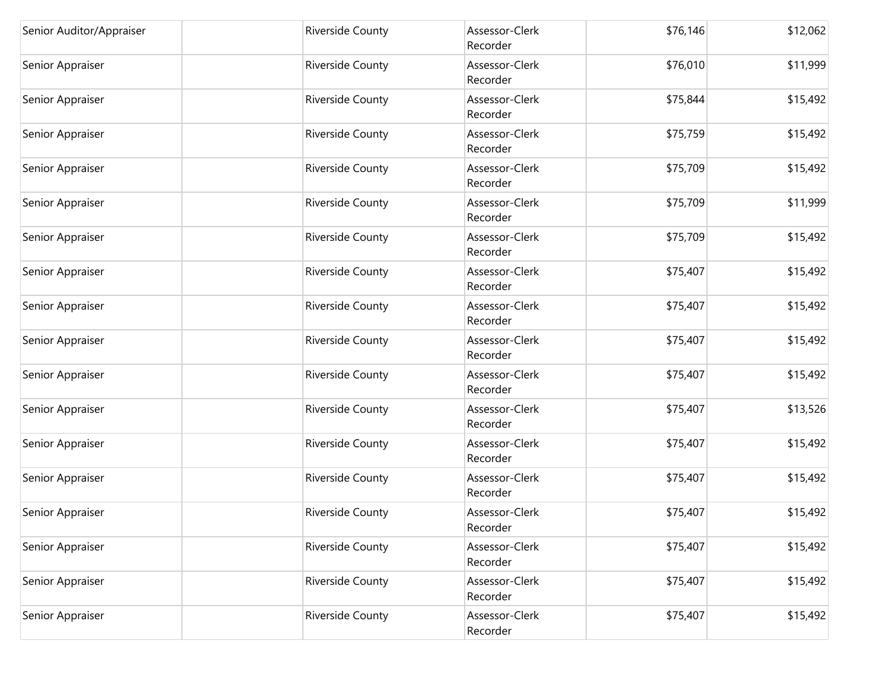| Senior Auditor/Appraiser | Riverside County | Assessor-Clerk<br>Recorder | \$76,146 | \$12,062 |
|--------------------------|------------------|----------------------------|----------|----------|
| Senior Appraiser         | Riverside County | Assessor-Clerk<br>Recorder | \$76,010 | \$11,999 |
| Senior Appraiser         | Riverside County | Assessor-Clerk<br>Recorder | \$75,844 | \$15,492 |
| Senior Appraiser         | Riverside County | Assessor-Clerk<br>Recorder | \$75,759 | \$15,492 |
| Senior Appraiser         | Riverside County | Assessor-Clerk<br>Recorder | \$75,709 | \$15,492 |
| Senior Appraiser         | Riverside County | Assessor-Clerk<br>Recorder | \$75,709 | \$11,999 |
| Senior Appraiser         | Riverside County | Assessor-Clerk<br>Recorder | \$75,709 | \$15,492 |
| Senior Appraiser         | Riverside County | Assessor-Clerk<br>Recorder | \$75,407 | \$15,492 |
| Senior Appraiser         | Riverside County | Assessor-Clerk<br>Recorder | \$75,407 | \$15,492 |
| Senior Appraiser         | Riverside County | Assessor-Clerk<br>Recorder | \$75,407 | \$15,492 |
| Senior Appraiser         | Riverside County | Assessor-Clerk<br>Recorder | \$75,407 | \$15,492 |
| Senior Appraiser         | Riverside County | Assessor-Clerk<br>Recorder | \$75,407 | \$13,526 |
| Senior Appraiser         | Riverside County | Assessor-Clerk<br>Recorder | \$75,407 | \$15,492 |
| Senior Appraiser         | Riverside County | Assessor-Clerk<br>Recorder | \$75,407 | \$15,492 |
| Senior Appraiser         | Riverside County | Assessor-Clerk<br>Recorder | \$75,407 | \$15,492 |
| Senior Appraiser         | Riverside County | Assessor-Clerk<br>Recorder | \$75,407 | \$15,492 |
| Senior Appraiser         | Riverside County | Assessor-Clerk<br>Recorder | \$75,407 | \$15,492 |
| Senior Appraiser         | Riverside County | Assessor-Clerk<br>Recorder | \$75,407 | \$15,492 |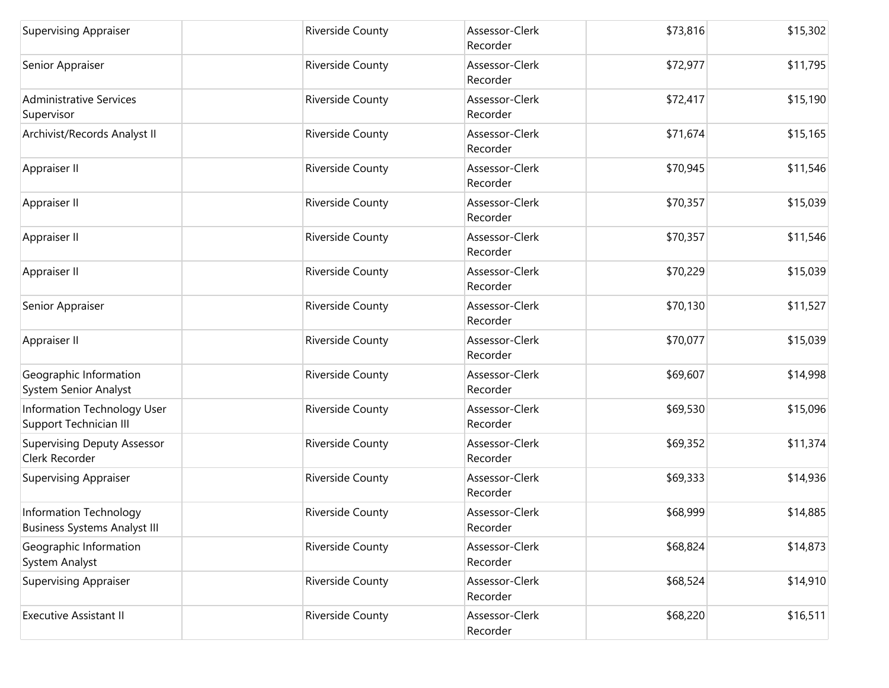| <b>Supervising Appraiser</b>                           | <b>Riverside County</b> | Assessor-Clerk<br>Recorder | \$73,816 | \$15,302 |
|--------------------------------------------------------|-------------------------|----------------------------|----------|----------|
| Senior Appraiser                                       | Riverside County        | Assessor-Clerk<br>Recorder | \$72,977 | \$11,795 |
| <b>Administrative Services</b><br>Supervisor           | Riverside County        | Assessor-Clerk<br>Recorder | \$72,417 | \$15,190 |
| Archivist/Records Analyst II                           | Riverside County        | Assessor-Clerk<br>Recorder | \$71,674 | \$15,165 |
| Appraiser II                                           | Riverside County        | Assessor-Clerk<br>Recorder | \$70,945 | \$11,546 |
| Appraiser II                                           | Riverside County        | Assessor-Clerk<br>Recorder | \$70,357 | \$15,039 |
| Appraiser II                                           | Riverside County        | Assessor-Clerk<br>Recorder | \$70,357 | \$11,546 |
| Appraiser II                                           | Riverside County        | Assessor-Clerk<br>Recorder | \$70,229 | \$15,039 |
| Senior Appraiser                                       | Riverside County        | Assessor-Clerk<br>Recorder | \$70,130 | \$11,527 |
| Appraiser II                                           | Riverside County        | Assessor-Clerk<br>Recorder | \$70,077 | \$15,039 |
| Geographic Information<br>System Senior Analyst        | <b>Riverside County</b> | Assessor-Clerk<br>Recorder | \$69,607 | \$14,998 |
| Information Technology User<br>Support Technician III  | Riverside County        | Assessor-Clerk<br>Recorder | \$69,530 | \$15,096 |
| <b>Supervising Deputy Assessor</b><br>Clerk Recorder   | Riverside County        | Assessor-Clerk<br>Recorder | \$69,352 | \$11,374 |
| <b>Supervising Appraiser</b>                           | Riverside County        | Assessor-Clerk<br>Recorder | \$69,333 | \$14,936 |
| Information Technology<br>Business Systems Analyst III | Riverside County        | Assessor-Clerk<br>Recorder | \$68,999 | \$14,885 |
| Geographic Information<br>System Analyst               | Riverside County        | Assessor-Clerk<br>Recorder | \$68,824 | \$14,873 |
| <b>Supervising Appraiser</b>                           | Riverside County        | Assessor-Clerk<br>Recorder | \$68,524 | \$14,910 |
| <b>Executive Assistant II</b>                          | Riverside County        | Assessor-Clerk<br>Recorder | \$68,220 | \$16,511 |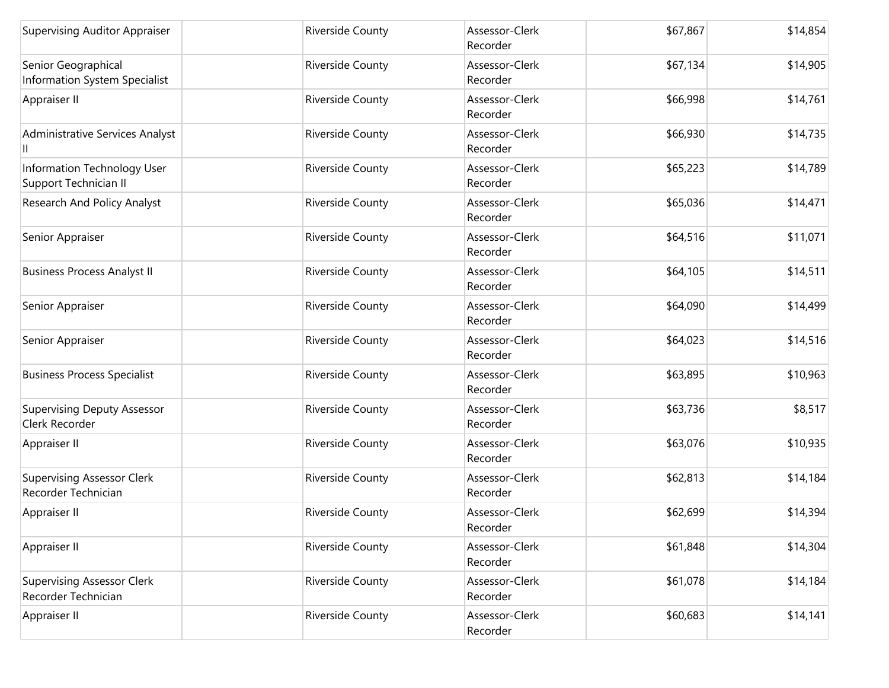| <b>Supervising Auditor Appraiser</b>                     | <b>Riverside County</b> | Assessor-Clerk<br>Recorder | \$67,867 | \$14,854 |
|----------------------------------------------------------|-------------------------|----------------------------|----------|----------|
| Senior Geographical<br>Information System Specialist     | <b>Riverside County</b> | Assessor-Clerk<br>Recorder | \$67,134 | \$14,905 |
| Appraiser II                                             | <b>Riverside County</b> | Assessor-Clerk<br>Recorder | \$66,998 | \$14,761 |
| Administrative Services Analyst                          | Riverside County        | Assessor-Clerk<br>Recorder | \$66,930 | \$14,735 |
| Information Technology User<br>Support Technician II     | Riverside County        | Assessor-Clerk<br>Recorder | \$65,223 | \$14,789 |
| Research And Policy Analyst                              | <b>Riverside County</b> | Assessor-Clerk<br>Recorder | \$65,036 | \$14,471 |
| Senior Appraiser                                         | Riverside County        | Assessor-Clerk<br>Recorder | \$64,516 | \$11,071 |
| <b>Business Process Analyst II</b>                       | <b>Riverside County</b> | Assessor-Clerk<br>Recorder | \$64,105 | \$14,511 |
| Senior Appraiser                                         | <b>Riverside County</b> | Assessor-Clerk<br>Recorder | \$64,090 | \$14,499 |
| Senior Appraiser                                         | <b>Riverside County</b> | Assessor-Clerk<br>Recorder | \$64,023 | \$14,516 |
| <b>Business Process Specialist</b>                       | <b>Riverside County</b> | Assessor-Clerk<br>Recorder | \$63,895 | \$10,963 |
| <b>Supervising Deputy Assessor</b><br>Clerk Recorder     | <b>Riverside County</b> | Assessor-Clerk<br>Recorder | \$63,736 | \$8,517  |
| Appraiser II                                             | Riverside County        | Assessor-Clerk<br>Recorder | \$63,076 | \$10,935 |
| <b>Supervising Assessor Clerk</b><br>Recorder Technician | Riverside County        | Assessor-Clerk<br>Recorder | \$62,813 | \$14,184 |
| Appraiser II                                             | <b>Riverside County</b> | Assessor-Clerk<br>Recorder | \$62,699 | \$14,394 |
| Appraiser II                                             | <b>Riverside County</b> | Assessor-Clerk<br>Recorder | \$61,848 | \$14,304 |
| <b>Supervising Assessor Clerk</b><br>Recorder Technician | Riverside County        | Assessor-Clerk<br>Recorder | \$61,078 | \$14,184 |
| Appraiser II                                             | <b>Riverside County</b> | Assessor-Clerk<br>Recorder | \$60,683 | \$14,141 |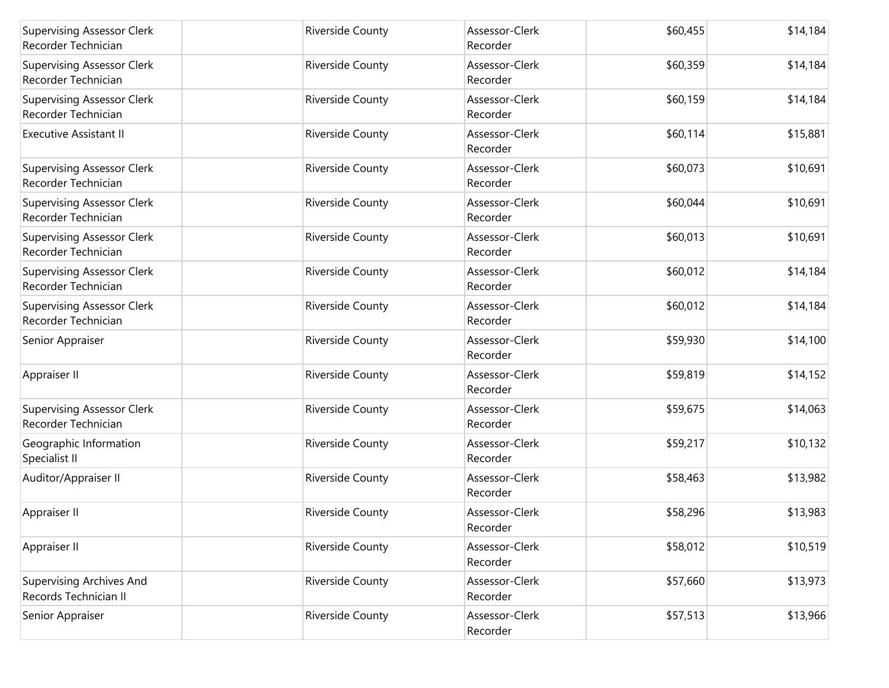| <b>Supervising Assessor Clerk</b><br>Recorder Technician | <b>Riverside County</b> | Assessor-Clerk<br>Recorder | \$60,455 | \$14,184 |
|----------------------------------------------------------|-------------------------|----------------------------|----------|----------|
| <b>Supervising Assessor Clerk</b><br>Recorder Technician | Riverside County        | Assessor-Clerk<br>Recorder | \$60,359 | \$14,184 |
| <b>Supervising Assessor Clerk</b><br>Recorder Technician | Riverside County        | Assessor-Clerk<br>Recorder | \$60,159 | \$14,184 |
| <b>Executive Assistant II</b>                            | Riverside County        | Assessor-Clerk<br>Recorder | \$60,114 | \$15,881 |
| <b>Supervising Assessor Clerk</b><br>Recorder Technician | Riverside County        | Assessor-Clerk<br>Recorder | \$60,073 | \$10,691 |
| <b>Supervising Assessor Clerk</b><br>Recorder Technician | Riverside County        | Assessor-Clerk<br>Recorder | \$60,044 | \$10,691 |
| <b>Supervising Assessor Clerk</b><br>Recorder Technician | Riverside County        | Assessor-Clerk<br>Recorder | \$60,013 | \$10,691 |
| <b>Supervising Assessor Clerk</b><br>Recorder Technician | Riverside County        | Assessor-Clerk<br>Recorder | \$60,012 | \$14,184 |
| <b>Supervising Assessor Clerk</b><br>Recorder Technician | <b>Riverside County</b> | Assessor-Clerk<br>Recorder | \$60,012 | \$14,184 |
| Senior Appraiser                                         | Riverside County        | Assessor-Clerk<br>Recorder | \$59,930 | \$14,100 |
| Appraiser II                                             | <b>Riverside County</b> | Assessor-Clerk<br>Recorder | \$59,819 | \$14,152 |
| <b>Supervising Assessor Clerk</b><br>Recorder Technician | Riverside County        | Assessor-Clerk<br>Recorder | \$59,675 | \$14,063 |
| Geographic Information<br>Specialist II                  | Riverside County        | Assessor-Clerk<br>Recorder | \$59,217 | \$10,132 |
| Auditor/Appraiser II                                     | Riverside County        | Assessor-Clerk<br>Recorder | \$58,463 | \$13,982 |
| Appraiser II                                             | Riverside County        | Assessor-Clerk<br>Recorder | \$58,296 | \$13,983 |
| Appraiser II                                             | <b>Riverside County</b> | Assessor-Clerk<br>Recorder | \$58,012 | \$10,519 |
| Supervising Archives And<br>Records Technician II        | <b>Riverside County</b> | Assessor-Clerk<br>Recorder | \$57,660 | \$13,973 |
| Senior Appraiser                                         | <b>Riverside County</b> | Assessor-Clerk<br>Recorder | \$57,513 | \$13,966 |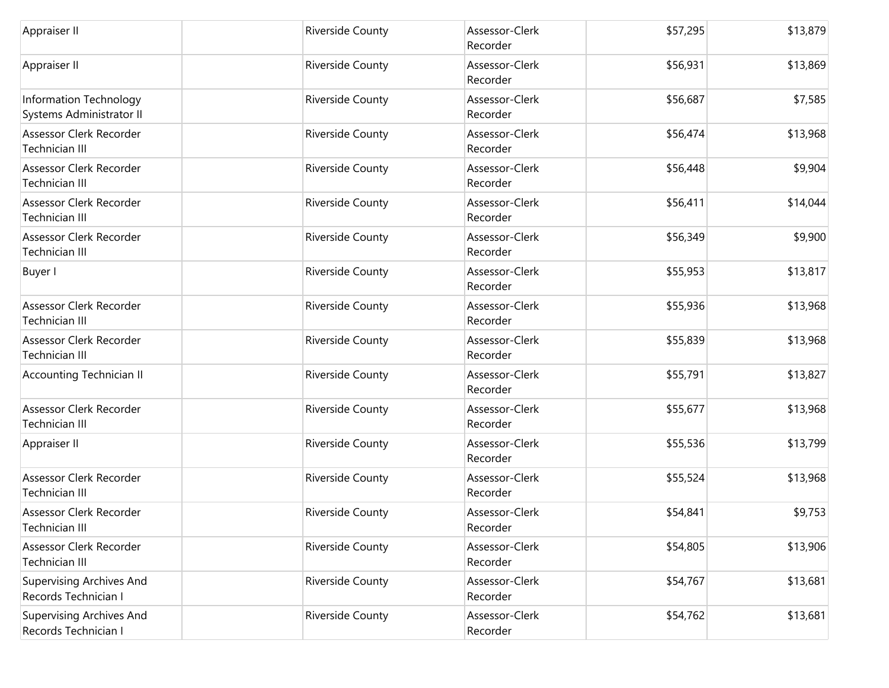| Appraiser II                                            | <b>Riverside County</b> | Assessor-Clerk<br>Recorder | \$57,295 | \$13,879 |
|---------------------------------------------------------|-------------------------|----------------------------|----------|----------|
| Appraiser II                                            | Riverside County        | Assessor-Clerk<br>Recorder | \$56,931 | \$13,869 |
| Information Technology<br>Systems Administrator II      | <b>Riverside County</b> | Assessor-Clerk<br>Recorder | \$56,687 | \$7,585  |
| Assessor Clerk Recorder<br>Technician III               | <b>Riverside County</b> | Assessor-Clerk<br>Recorder | \$56,474 | \$13,968 |
| Assessor Clerk Recorder<br>Technician III               | <b>Riverside County</b> | Assessor-Clerk<br>Recorder | \$56,448 | \$9,904  |
| Assessor Clerk Recorder<br>Technician III               | Riverside County        | Assessor-Clerk<br>Recorder | \$56,411 | \$14,044 |
| Assessor Clerk Recorder<br>Technician III               | Riverside County        | Assessor-Clerk<br>Recorder | \$56,349 | \$9,900  |
| Buyer I                                                 | Riverside County        | Assessor-Clerk<br>Recorder | \$55,953 | \$13,817 |
| Assessor Clerk Recorder<br>Technician III               | <b>Riverside County</b> | Assessor-Clerk<br>Recorder | \$55,936 | \$13,968 |
| Assessor Clerk Recorder<br>Technician III               | <b>Riverside County</b> | Assessor-Clerk<br>Recorder | \$55,839 | \$13,968 |
| <b>Accounting Technician II</b>                         | Riverside County        | Assessor-Clerk<br>Recorder | \$55,791 | \$13,827 |
| Assessor Clerk Recorder<br>Technician III               | <b>Riverside County</b> | Assessor-Clerk<br>Recorder | \$55,677 | \$13,968 |
| Appraiser II                                            | <b>Riverside County</b> | Assessor-Clerk<br>Recorder | \$55,536 | \$13,799 |
| Assessor Clerk Recorder<br>Technician III               | <b>Riverside County</b> | Assessor-Clerk<br>Recorder | \$55,524 | \$13,968 |
| Assessor Clerk Recorder<br>Technician III               | Riverside County        | Assessor-Clerk<br>Recorder | \$54,841 | \$9,753  |
| Assessor Clerk Recorder<br>Technician III               | Riverside County        | Assessor-Clerk<br>Recorder | \$54,805 | \$13,906 |
| <b>Supervising Archives And</b><br>Records Technician I | Riverside County        | Assessor-Clerk<br>Recorder | \$54,767 | \$13,681 |
| <b>Supervising Archives And</b><br>Records Technician I | Riverside County        | Assessor-Clerk<br>Recorder | \$54,762 | \$13,681 |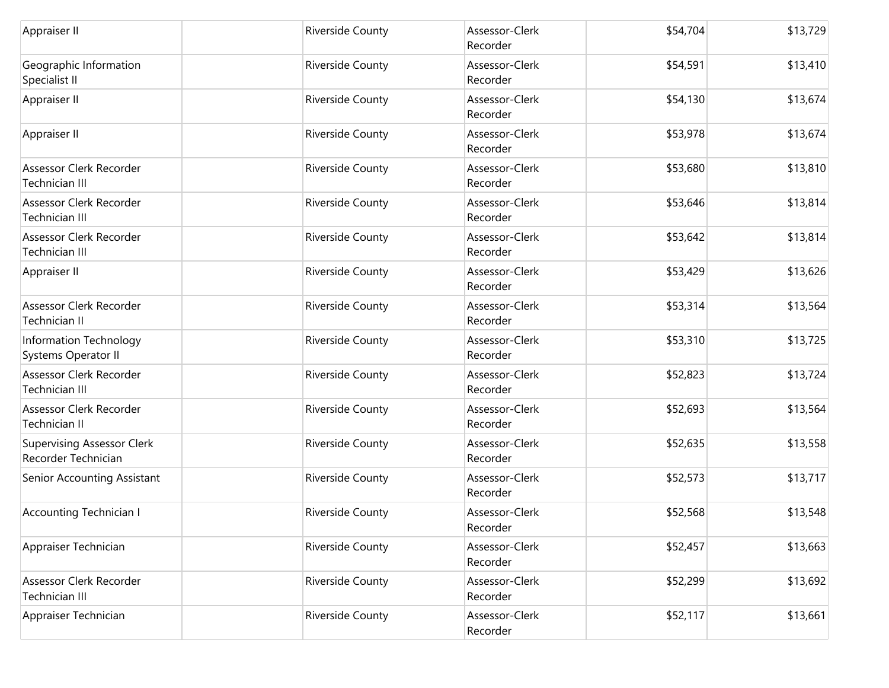| Appraiser II                                             | Riverside County | Assessor-Clerk<br>Recorder | \$54,704 | \$13,729 |
|----------------------------------------------------------|------------------|----------------------------|----------|----------|
| Geographic Information<br>Specialist II                  | Riverside County | Assessor-Clerk<br>Recorder | \$54,591 | \$13,410 |
| Appraiser II                                             | Riverside County | Assessor-Clerk<br>Recorder | \$54,130 | \$13,674 |
| Appraiser II                                             | Riverside County | Assessor-Clerk<br>Recorder | \$53,978 | \$13,674 |
| Assessor Clerk Recorder<br>Technician III                | Riverside County | Assessor-Clerk<br>Recorder | \$53,680 | \$13,810 |
| Assessor Clerk Recorder<br><b>Technician III</b>         | Riverside County | Assessor-Clerk<br>Recorder | \$53,646 | \$13,814 |
| Assessor Clerk Recorder<br>Technician III                | Riverside County | Assessor-Clerk<br>Recorder | \$53,642 | \$13,814 |
| Appraiser II                                             | Riverside County | Assessor-Clerk<br>Recorder | \$53,429 | \$13,626 |
| Assessor Clerk Recorder<br>Technician II                 | Riverside County | Assessor-Clerk<br>Recorder | \$53,314 | \$13,564 |
| Information Technology<br>Systems Operator II            | Riverside County | Assessor-Clerk<br>Recorder | \$53,310 | \$13,725 |
| Assessor Clerk Recorder<br>Technician III                | Riverside County | Assessor-Clerk<br>Recorder | \$52,823 | \$13,724 |
| Assessor Clerk Recorder<br>Technician II                 | Riverside County | Assessor-Clerk<br>Recorder | \$52,693 | \$13,564 |
| <b>Supervising Assessor Clerk</b><br>Recorder Technician | Riverside County | Assessor-Clerk<br>Recorder | \$52,635 | \$13,558 |
| Senior Accounting Assistant                              | Riverside County | Assessor-Clerk<br>Recorder | \$52,573 | \$13,717 |
| <b>Accounting Technician I</b>                           | Riverside County | Assessor-Clerk<br>Recorder | \$52,568 | \$13,548 |
| Appraiser Technician                                     | Riverside County | Assessor-Clerk<br>Recorder | \$52,457 | \$13,663 |
| Assessor Clerk Recorder<br>Technician III                | Riverside County | Assessor-Clerk<br>Recorder | \$52,299 | \$13,692 |
| Appraiser Technician                                     | Riverside County | Assessor-Clerk<br>Recorder | \$52,117 | \$13,661 |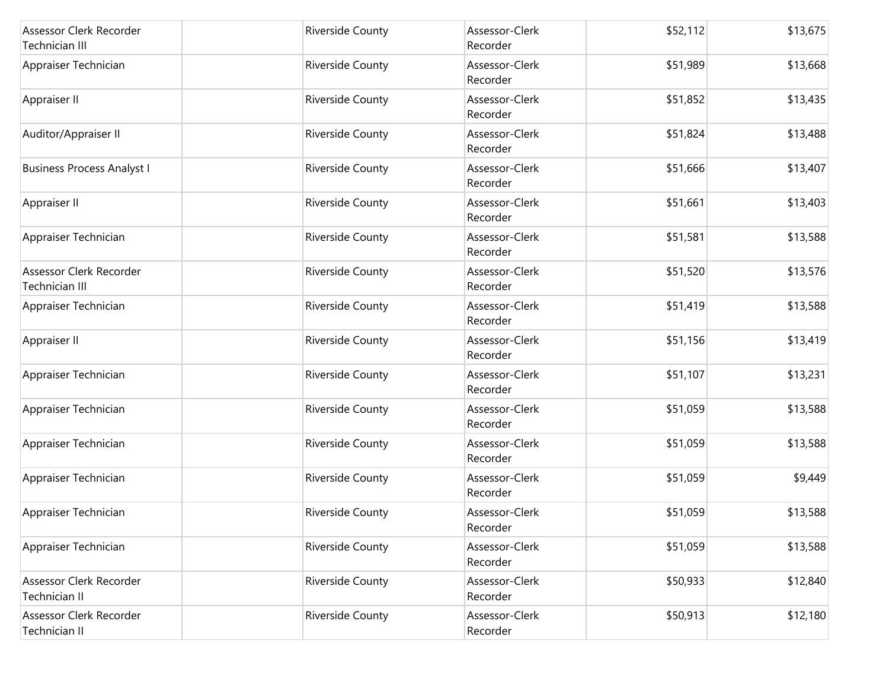| Assessor Clerk Recorder<br>Technician III | Riverside County | Assessor-Clerk<br>Recorder | \$52,112 | \$13,675 |
|-------------------------------------------|------------------|----------------------------|----------|----------|
| Appraiser Technician                      | Riverside County | Assessor-Clerk<br>Recorder | \$51,989 | \$13,668 |
| Appraiser II                              | Riverside County | Assessor-Clerk<br>Recorder | \$51,852 | \$13,435 |
| Auditor/Appraiser II                      | Riverside County | Assessor-Clerk<br>Recorder | \$51,824 | \$13,488 |
| <b>Business Process Analyst I</b>         | Riverside County | Assessor-Clerk<br>Recorder | \$51,666 | \$13,407 |
| Appraiser II                              | Riverside County | Assessor-Clerk<br>Recorder | \$51,661 | \$13,403 |
| Appraiser Technician                      | Riverside County | Assessor-Clerk<br>Recorder | \$51,581 | \$13,588 |
| Assessor Clerk Recorder<br>Technician III | Riverside County | Assessor-Clerk<br>Recorder | \$51,520 | \$13,576 |
| Appraiser Technician                      | Riverside County | Assessor-Clerk<br>Recorder | \$51,419 | \$13,588 |
| Appraiser II                              | Riverside County | Assessor-Clerk<br>Recorder | \$51,156 | \$13,419 |
| Appraiser Technician                      | Riverside County | Assessor-Clerk<br>Recorder | \$51,107 | \$13,231 |
| Appraiser Technician                      | Riverside County | Assessor-Clerk<br>Recorder | \$51,059 | \$13,588 |
| Appraiser Technician                      | Riverside County | Assessor-Clerk<br>Recorder | \$51,059 | \$13,588 |
| Appraiser Technician                      | Riverside County | Assessor-Clerk<br>Recorder | \$51,059 | \$9,449  |
| Appraiser Technician                      | Riverside County | Assessor-Clerk<br>Recorder | \$51,059 | \$13,588 |
| Appraiser Technician                      | Riverside County | Assessor-Clerk<br>Recorder | \$51,059 | \$13,588 |
| Assessor Clerk Recorder<br>Technician II  | Riverside County | Assessor-Clerk<br>Recorder | \$50,933 | \$12,840 |
| Assessor Clerk Recorder<br>Technician II  | Riverside County | Assessor-Clerk<br>Recorder | \$50,913 | \$12,180 |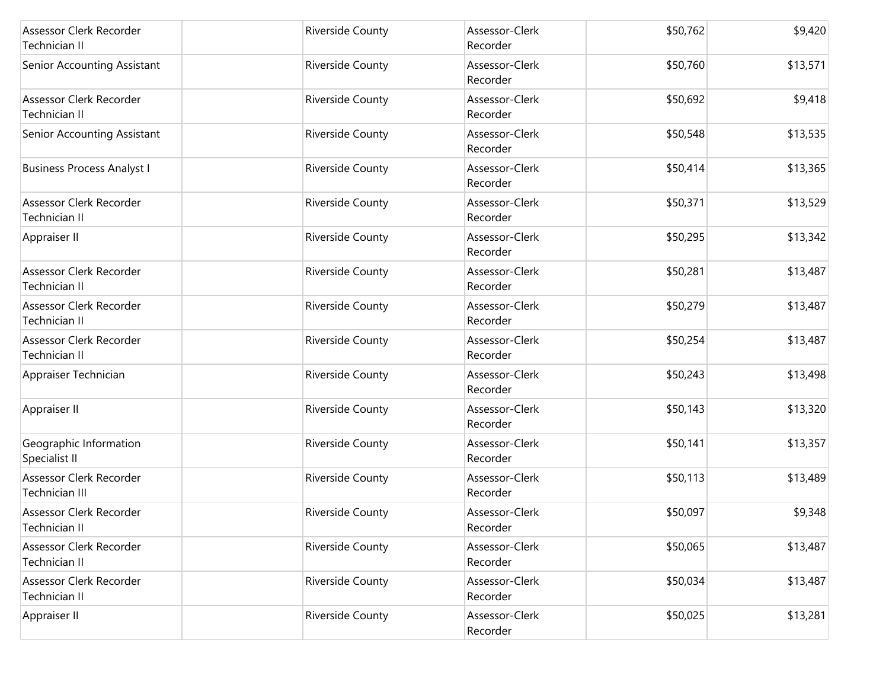| Assessor Clerk Recorder<br>Technician II  | <b>Riverside County</b> | Assessor-Clerk<br>Recorder | \$50,762 | \$9,420  |
|-------------------------------------------|-------------------------|----------------------------|----------|----------|
| Senior Accounting Assistant               | Riverside County        | Assessor-Clerk<br>Recorder | \$50,760 | \$13,571 |
| Assessor Clerk Recorder<br>Technician II  | Riverside County        | Assessor-Clerk<br>Recorder | \$50,692 | \$9,418  |
| Senior Accounting Assistant               | Riverside County        | Assessor-Clerk<br>Recorder | \$50,548 | \$13,535 |
| <b>Business Process Analyst I</b>         | Riverside County        | Assessor-Clerk<br>Recorder | \$50,414 | \$13,365 |
| Assessor Clerk Recorder<br>Technician II  | Riverside County        | Assessor-Clerk<br>Recorder | \$50,371 | \$13,529 |
| Appraiser II                              | Riverside County        | Assessor-Clerk<br>Recorder | \$50,295 | \$13,342 |
| Assessor Clerk Recorder<br>Technician II  | Riverside County        | Assessor-Clerk<br>Recorder | \$50,281 | \$13,487 |
| Assessor Clerk Recorder<br>Technician II  | Riverside County        | Assessor-Clerk<br>Recorder | \$50,279 | \$13,487 |
| Assessor Clerk Recorder<br>Technician II  | Riverside County        | Assessor-Clerk<br>Recorder | \$50,254 | \$13,487 |
| Appraiser Technician                      | Riverside County        | Assessor-Clerk<br>Recorder | \$50,243 | \$13,498 |
| Appraiser II                              | Riverside County        | Assessor-Clerk<br>Recorder | \$50,143 | \$13,320 |
| Geographic Information<br>Specialist II   | Riverside County        | Assessor-Clerk<br>Recorder | \$50,141 | \$13,357 |
| Assessor Clerk Recorder<br>Technician III | Riverside County        | Assessor-Clerk<br>Recorder | \$50,113 | \$13,489 |
| Assessor Clerk Recorder<br>Technician II  | Riverside County        | Assessor-Clerk<br>Recorder | \$50,097 | \$9,348  |
| Assessor Clerk Recorder<br>Technician II  | Riverside County        | Assessor-Clerk<br>Recorder | \$50,065 | \$13,487 |
| Assessor Clerk Recorder<br>Technician II  | Riverside County        | Assessor-Clerk<br>Recorder | \$50,034 | \$13,487 |
| Appraiser II                              | Riverside County        | Assessor-Clerk<br>Recorder | \$50,025 | \$13,281 |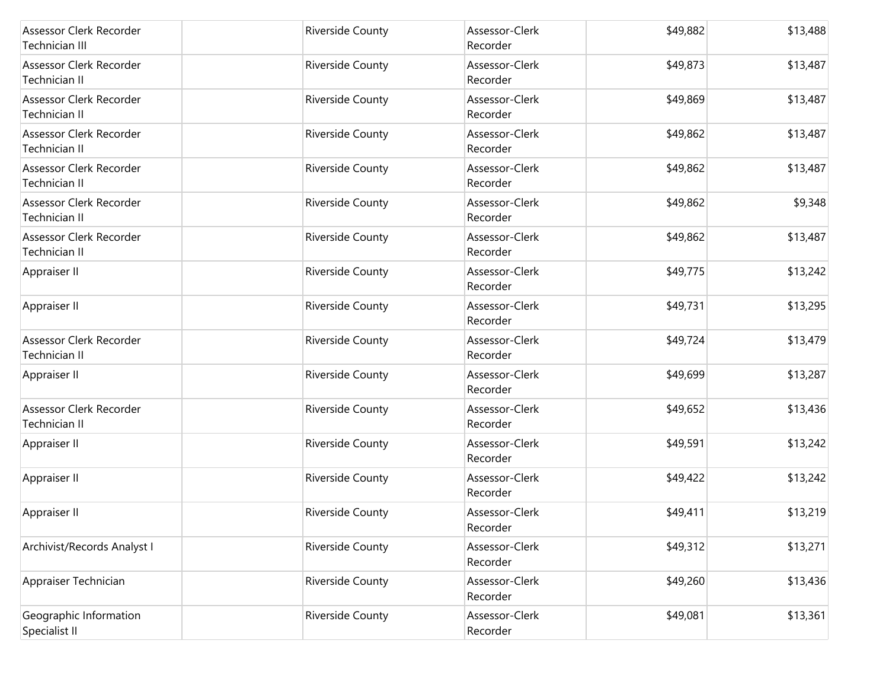| Assessor Clerk Recorder<br>Technician III       | <b>Riverside County</b> | Assessor-Clerk<br>Recorder | \$49,882 | \$13,488 |
|-------------------------------------------------|-------------------------|----------------------------|----------|----------|
| Assessor Clerk Recorder<br><b>Technician II</b> | <b>Riverside County</b> | Assessor-Clerk<br>Recorder | \$49,873 | \$13,487 |
| Assessor Clerk Recorder<br>Technician II        | Riverside County        | Assessor-Clerk<br>Recorder | \$49,869 | \$13,487 |
| Assessor Clerk Recorder<br><b>Technician II</b> | <b>Riverside County</b> | Assessor-Clerk<br>Recorder | \$49,862 | \$13,487 |
| Assessor Clerk Recorder<br>Technician II        | Riverside County        | Assessor-Clerk<br>Recorder | \$49,862 | \$13,487 |
| Assessor Clerk Recorder<br>Technician II        | <b>Riverside County</b> | Assessor-Clerk<br>Recorder | \$49,862 | \$9,348  |
| Assessor Clerk Recorder<br>Technician II        | <b>Riverside County</b> | Assessor-Clerk<br>Recorder | \$49,862 | \$13,487 |
| Appraiser II                                    | Riverside County        | Assessor-Clerk<br>Recorder | \$49,775 | \$13,242 |
| Appraiser II                                    | <b>Riverside County</b> | Assessor-Clerk<br>Recorder | \$49,731 | \$13,295 |
| Assessor Clerk Recorder<br>Technician II        | <b>Riverside County</b> | Assessor-Clerk<br>Recorder | \$49,724 | \$13,479 |
| Appraiser II                                    | <b>Riverside County</b> | Assessor-Clerk<br>Recorder | \$49,699 | \$13,287 |
| Assessor Clerk Recorder<br>Technician II        | <b>Riverside County</b> | Assessor-Clerk<br>Recorder | \$49,652 | \$13,436 |
| Appraiser II                                    | Riverside County        | Assessor-Clerk<br>Recorder | \$49,591 | \$13,242 |
| Appraiser II                                    | Riverside County        | Assessor-Clerk<br>Recorder | \$49,422 | \$13,242 |
| Appraiser II                                    | Riverside County        | Assessor-Clerk<br>Recorder | \$49,411 | \$13,219 |
| Archivist/Records Analyst I                     | Riverside County        | Assessor-Clerk<br>Recorder | \$49,312 | \$13,271 |
| Appraiser Technician                            | Riverside County        | Assessor-Clerk<br>Recorder | \$49,260 | \$13,436 |
| Geographic Information<br>Specialist II         | Riverside County        | Assessor-Clerk<br>Recorder | \$49,081 | \$13,361 |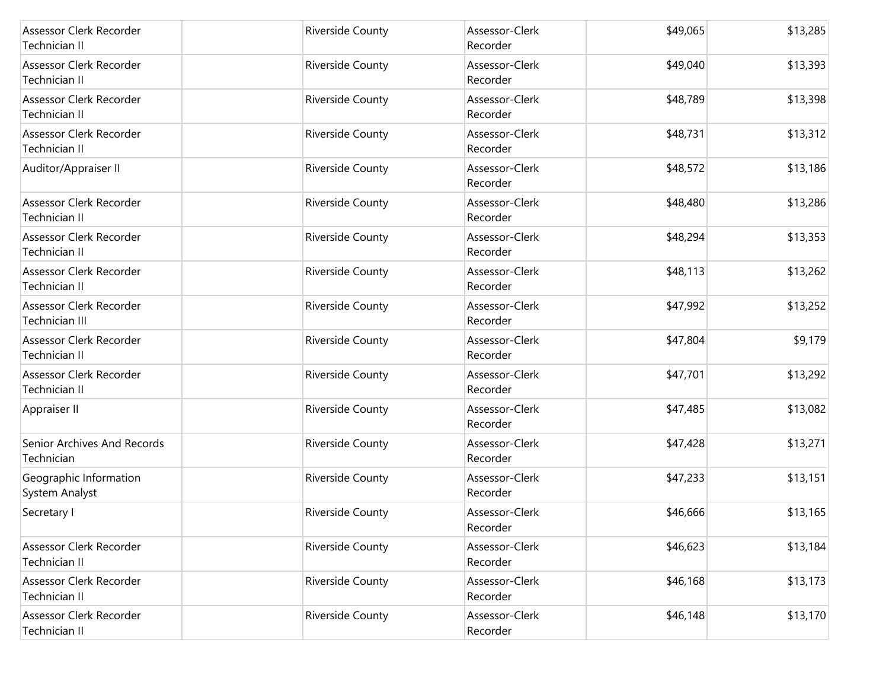| Assessor Clerk Recorder<br>Technician II         | <b>Riverside County</b> | Assessor-Clerk<br>Recorder | \$49,065 | \$13,285 |
|--------------------------------------------------|-------------------------|----------------------------|----------|----------|
| Assessor Clerk Recorder<br><b>Technician II</b>  | <b>Riverside County</b> | Assessor-Clerk<br>Recorder | \$49,040 | \$13,393 |
| Assessor Clerk Recorder<br>Technician II         | Riverside County        | Assessor-Clerk<br>Recorder | \$48,789 | \$13,398 |
| Assessor Clerk Recorder<br>Technician II         | Riverside County        | Assessor-Clerk<br>Recorder | \$48,731 | \$13,312 |
| Auditor/Appraiser II                             | Riverside County        | Assessor-Clerk<br>Recorder | \$48,572 | \$13,186 |
| Assessor Clerk Recorder<br><b>Technician II</b>  | Riverside County        | Assessor-Clerk<br>Recorder | \$48,480 | \$13,286 |
| Assessor Clerk Recorder<br><b>Technician II</b>  | <b>Riverside County</b> | Assessor-Clerk<br>Recorder | \$48,294 | \$13,353 |
| Assessor Clerk Recorder<br>Technician II         | Riverside County        | Assessor-Clerk<br>Recorder | \$48,113 | \$13,262 |
| Assessor Clerk Recorder<br><b>Technician III</b> | <b>Riverside County</b> | Assessor-Clerk<br>Recorder | \$47,992 | \$13,252 |
| Assessor Clerk Recorder<br>Technician II         | Riverside County        | Assessor-Clerk<br>Recorder | \$47,804 | \$9,179  |
| Assessor Clerk Recorder<br><b>Technician II</b>  | <b>Riverside County</b> | Assessor-Clerk<br>Recorder | \$47,701 | \$13,292 |
| Appraiser II                                     | Riverside County        | Assessor-Clerk<br>Recorder | \$47,485 | \$13,082 |
| Senior Archives And Records<br>Technician        | Riverside County        | Assessor-Clerk<br>Recorder | \$47,428 | \$13,271 |
| Geographic Information<br>System Analyst         | Riverside County        | Assessor-Clerk<br>Recorder | \$47,233 | \$13,151 |
| Secretary I                                      | Riverside County        | Assessor-Clerk<br>Recorder | \$46,666 | \$13,165 |
| Assessor Clerk Recorder<br>Technician II         | <b>Riverside County</b> | Assessor-Clerk<br>Recorder | \$46,623 | \$13,184 |
| Assessor Clerk Recorder<br><b>Technician II</b>  | <b>Riverside County</b> | Assessor-Clerk<br>Recorder | \$46,168 | \$13,173 |
| Assessor Clerk Recorder<br>Technician II         | <b>Riverside County</b> | Assessor-Clerk<br>Recorder | \$46,148 | \$13,170 |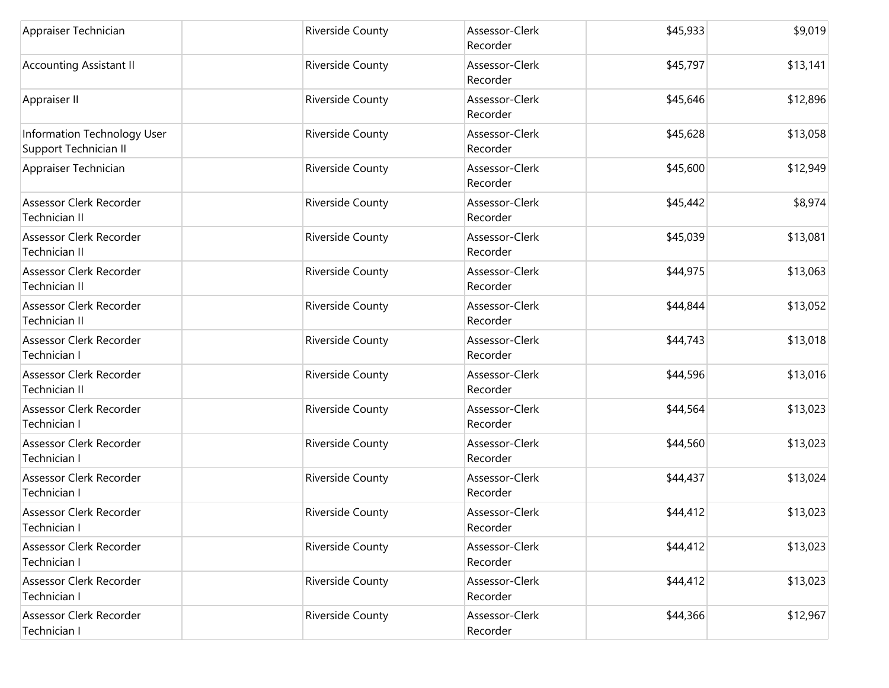| Appraiser Technician                                 | <b>Riverside County</b> | Assessor-Clerk<br>Recorder | \$45,933 | \$9,019  |
|------------------------------------------------------|-------------------------|----------------------------|----------|----------|
| <b>Accounting Assistant II</b>                       | Riverside County        | Assessor-Clerk<br>Recorder | \$45,797 | \$13,141 |
| Appraiser II                                         | Riverside County        | Assessor-Clerk<br>Recorder | \$45,646 | \$12,896 |
| Information Technology User<br>Support Technician II | Riverside County        | Assessor-Clerk<br>Recorder | \$45,628 | \$13,058 |
| Appraiser Technician                                 | Riverside County        | Assessor-Clerk<br>Recorder | \$45,600 | \$12,949 |
| Assessor Clerk Recorder<br>Technician II             | Riverside County        | Assessor-Clerk<br>Recorder | \$45,442 | \$8,974  |
| Assessor Clerk Recorder<br>Technician II             | Riverside County        | Assessor-Clerk<br>Recorder | \$45,039 | \$13,081 |
| Assessor Clerk Recorder<br>Technician II             | Riverside County        | Assessor-Clerk<br>Recorder | \$44,975 | \$13,063 |
| Assessor Clerk Recorder<br>Technician II             | Riverside County        | Assessor-Clerk<br>Recorder | \$44,844 | \$13,052 |
| Assessor Clerk Recorder<br>Technician I              | Riverside County        | Assessor-Clerk<br>Recorder | \$44,743 | \$13,018 |
| Assessor Clerk Recorder<br>Technician II             | Riverside County        | Assessor-Clerk<br>Recorder | \$44,596 | \$13,016 |
| Assessor Clerk Recorder<br>Technician I              | Riverside County        | Assessor-Clerk<br>Recorder | \$44,564 | \$13,023 |
| Assessor Clerk Recorder<br>Technician I              | Riverside County        | Assessor-Clerk<br>Recorder | \$44,560 | \$13,023 |
| Assessor Clerk Recorder<br>Technician I              | Riverside County        | Assessor-Clerk<br>Recorder | \$44,437 | \$13,024 |
| Assessor Clerk Recorder<br>Technician I              | Riverside County        | Assessor-Clerk<br>Recorder | \$44,412 | \$13,023 |
| Assessor Clerk Recorder<br>Technician I              | Riverside County        | Assessor-Clerk<br>Recorder | \$44,412 | \$13,023 |
| Assessor Clerk Recorder<br>Technician I              | Riverside County        | Assessor-Clerk<br>Recorder | \$44,412 | \$13,023 |
| Assessor Clerk Recorder<br>Technician I              | Riverside County        | Assessor-Clerk<br>Recorder | \$44,366 | \$12,967 |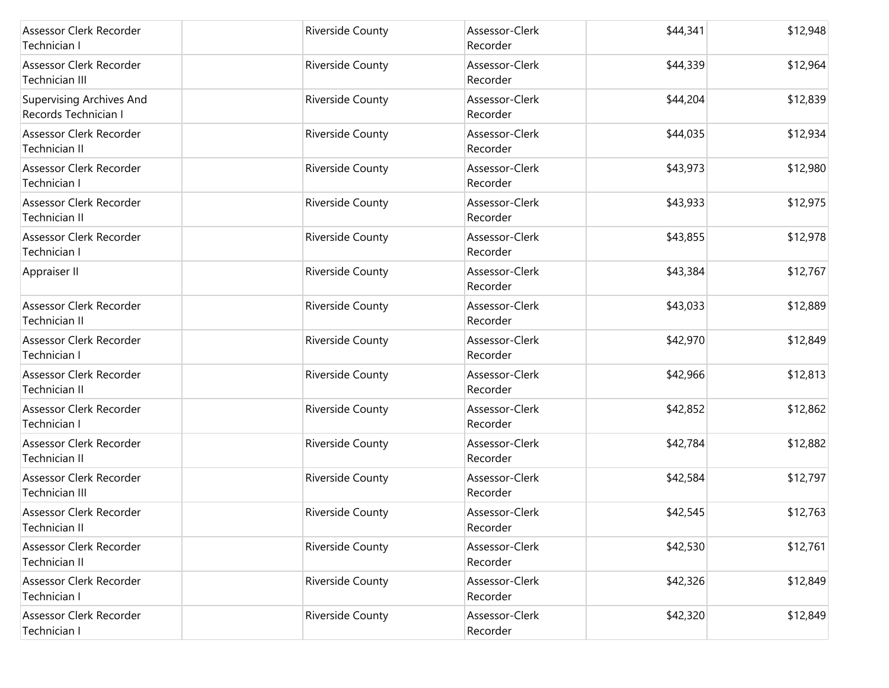| Assessor Clerk Recorder<br>Technician I                 | <b>Riverside County</b> | Assessor-Clerk<br>Recorder | \$44,341 | \$12,948 |
|---------------------------------------------------------|-------------------------|----------------------------|----------|----------|
| Assessor Clerk Recorder<br><b>Technician III</b>        | Riverside County        | Assessor-Clerk<br>Recorder | \$44,339 | \$12,964 |
| <b>Supervising Archives And</b><br>Records Technician I | Riverside County        | Assessor-Clerk<br>Recorder | \$44,204 | \$12,839 |
| Assessor Clerk Recorder<br><b>Technician II</b>         | Riverside County        | Assessor-Clerk<br>Recorder | \$44,035 | \$12,934 |
| Assessor Clerk Recorder<br>Technician I                 | <b>Riverside County</b> | Assessor-Clerk<br>Recorder | \$43,973 | \$12,980 |
| Assessor Clerk Recorder<br><b>Technician II</b>         | Riverside County        | Assessor-Clerk<br>Recorder | \$43,933 | \$12,975 |
| Assessor Clerk Recorder<br>Technician I                 | Riverside County        | Assessor-Clerk<br>Recorder | \$43,855 | \$12,978 |
| Appraiser II                                            | Riverside County        | Assessor-Clerk<br>Recorder | \$43,384 | \$12,767 |
| Assessor Clerk Recorder<br><b>Technician II</b>         | Riverside County        | Assessor-Clerk<br>Recorder | \$43,033 | \$12,889 |
| Assessor Clerk Recorder<br>Technician I                 | Riverside County        | Assessor-Clerk<br>Recorder | \$42,970 | \$12,849 |
| Assessor Clerk Recorder<br><b>Technician II</b>         | <b>Riverside County</b> | Assessor-Clerk<br>Recorder | \$42,966 | \$12,813 |
| Assessor Clerk Recorder<br>Technician I                 | Riverside County        | Assessor-Clerk<br>Recorder | \$42,852 | \$12,862 |
| Assessor Clerk Recorder<br><b>Technician II</b>         | Riverside County        | Assessor-Clerk<br>Recorder | \$42,784 | \$12,882 |
| Assessor Clerk Recorder<br>Technician III               | Riverside County        | Assessor-Clerk<br>Recorder | \$42,584 | \$12,797 |
| Assessor Clerk Recorder<br>Technician II                | Riverside County        | Assessor-Clerk<br>Recorder | \$42,545 | \$12,763 |
| Assessor Clerk Recorder<br><b>Technician II</b>         | Riverside County        | Assessor-Clerk<br>Recorder | \$42,530 | \$12,761 |
| Assessor Clerk Recorder<br>Technician I                 | Riverside County        | Assessor-Clerk<br>Recorder | \$42,326 | \$12,849 |
| Assessor Clerk Recorder<br>Technician I                 | Riverside County        | Assessor-Clerk<br>Recorder | \$42,320 | \$12,849 |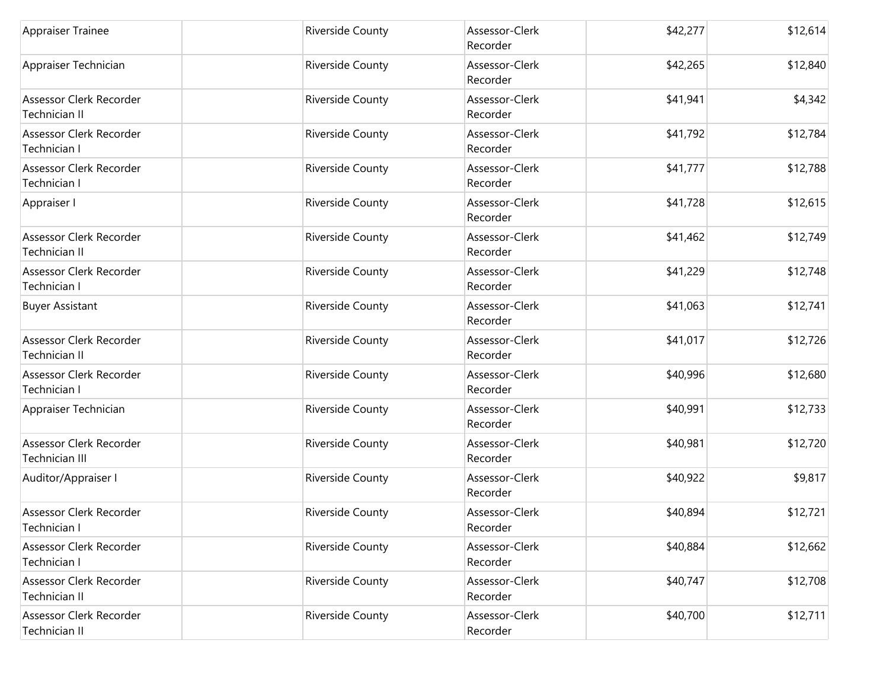| Appraiser Trainee                         | <b>Riverside County</b> | Assessor-Clerk<br>Recorder | \$42,277 | \$12,614 |
|-------------------------------------------|-------------------------|----------------------------|----------|----------|
| Appraiser Technician                      | Riverside County        | Assessor-Clerk<br>Recorder | \$42,265 | \$12,840 |
| Assessor Clerk Recorder<br>Technician II  | Riverside County        | Assessor-Clerk<br>Recorder | \$41,941 | \$4,342  |
| Assessor Clerk Recorder<br>Technician I   | Riverside County        | Assessor-Clerk<br>Recorder | \$41,792 | \$12,784 |
| Assessor Clerk Recorder<br>Technician I   | Riverside County        | Assessor-Clerk<br>Recorder | \$41,777 | \$12,788 |
| Appraiser I                               | <b>Riverside County</b> | Assessor-Clerk<br>Recorder | \$41,728 | \$12,615 |
| Assessor Clerk Recorder<br>Technician II  | Riverside County        | Assessor-Clerk<br>Recorder | \$41,462 | \$12,749 |
| Assessor Clerk Recorder<br>Technician I   | Riverside County        | Assessor-Clerk<br>Recorder | \$41,229 | \$12,748 |
| <b>Buyer Assistant</b>                    | Riverside County        | Assessor-Clerk<br>Recorder | \$41,063 | \$12,741 |
| Assessor Clerk Recorder<br>Technician II  | <b>Riverside County</b> | Assessor-Clerk<br>Recorder | \$41,017 | \$12,726 |
| Assessor Clerk Recorder<br>Technician I   | <b>Riverside County</b> | Assessor-Clerk<br>Recorder | \$40,996 | \$12,680 |
| Appraiser Technician                      | Riverside County        | Assessor-Clerk<br>Recorder | \$40,991 | \$12,733 |
| Assessor Clerk Recorder<br>Technician III | Riverside County        | Assessor-Clerk<br>Recorder | \$40,981 | \$12,720 |
| Auditor/Appraiser I                       | <b>Riverside County</b> | Assessor-Clerk<br>Recorder | \$40,922 | \$9,817  |
| Assessor Clerk Recorder<br>Technician I   | Riverside County        | Assessor-Clerk<br>Recorder | \$40,894 | \$12,721 |
| Assessor Clerk Recorder<br>Technician I   | Riverside County        | Assessor-Clerk<br>Recorder | \$40,884 | \$12,662 |
| Assessor Clerk Recorder<br>Technician II  | Riverside County        | Assessor-Clerk<br>Recorder | \$40,747 | \$12,708 |
| Assessor Clerk Recorder<br>Technician II  | Riverside County        | Assessor-Clerk<br>Recorder | \$40,700 | \$12,711 |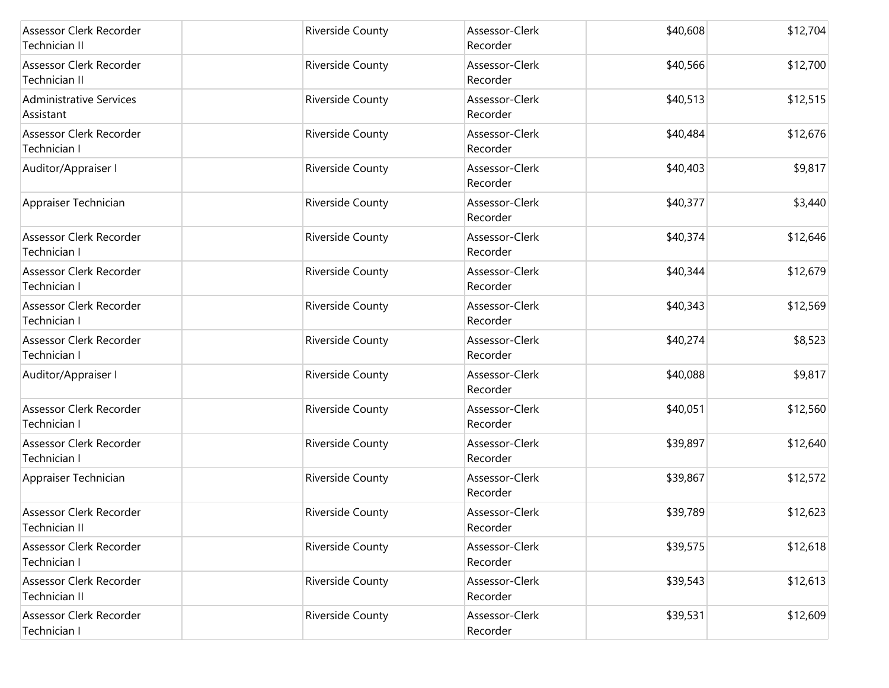| Assessor Clerk Recorder<br>Technician II    | Riverside County        | Assessor-Clerk<br>Recorder | \$40,608 | \$12,704 |
|---------------------------------------------|-------------------------|----------------------------|----------|----------|
| Assessor Clerk Recorder<br>Technician II    | Riverside County        | Assessor-Clerk<br>Recorder | \$40,566 | \$12,700 |
| <b>Administrative Services</b><br>Assistant | Riverside County        | Assessor-Clerk<br>Recorder | \$40,513 | \$12,515 |
| Assessor Clerk Recorder<br>Technician I     | Riverside County        | Assessor-Clerk<br>Recorder | \$40,484 | \$12,676 |
| Auditor/Appraiser I                         | Riverside County        | Assessor-Clerk<br>Recorder | \$40,403 | \$9,817  |
| Appraiser Technician                        | Riverside County        | Assessor-Clerk<br>Recorder | \$40,377 | \$3,440  |
| Assessor Clerk Recorder<br>Technician I     | Riverside County        | Assessor-Clerk<br>Recorder | \$40,374 | \$12,646 |
| Assessor Clerk Recorder<br>Technician I     | Riverside County        | Assessor-Clerk<br>Recorder | \$40,344 | \$12,679 |
| Assessor Clerk Recorder<br>Technician I     | <b>Riverside County</b> | Assessor-Clerk<br>Recorder | \$40,343 | \$12,569 |
| Assessor Clerk Recorder<br>Technician I     | Riverside County        | Assessor-Clerk<br>Recorder | \$40,274 | \$8,523  |
| Auditor/Appraiser I                         | <b>Riverside County</b> | Assessor-Clerk<br>Recorder | \$40,088 | \$9,817  |
| Assessor Clerk Recorder<br>Technician I     | Riverside County        | Assessor-Clerk<br>Recorder | \$40,051 | \$12,560 |
| Assessor Clerk Recorder<br>Technician I     | Riverside County        | Assessor-Clerk<br>Recorder | \$39,897 | \$12,640 |
| Appraiser Technician                        | Riverside County        | Assessor-Clerk<br>Recorder | \$39,867 | \$12,572 |
| Assessor Clerk Recorder<br>Technician II    | Riverside County        | Assessor-Clerk<br>Recorder | \$39,789 | \$12,623 |
| Assessor Clerk Recorder<br>Technician I     | Riverside County        | Assessor-Clerk<br>Recorder | \$39,575 | \$12,618 |
| Assessor Clerk Recorder<br>Technician II    | Riverside County        | Assessor-Clerk<br>Recorder | \$39,543 | \$12,613 |
| Assessor Clerk Recorder<br>Technician I     | Riverside County        | Assessor-Clerk<br>Recorder | \$39,531 | \$12,609 |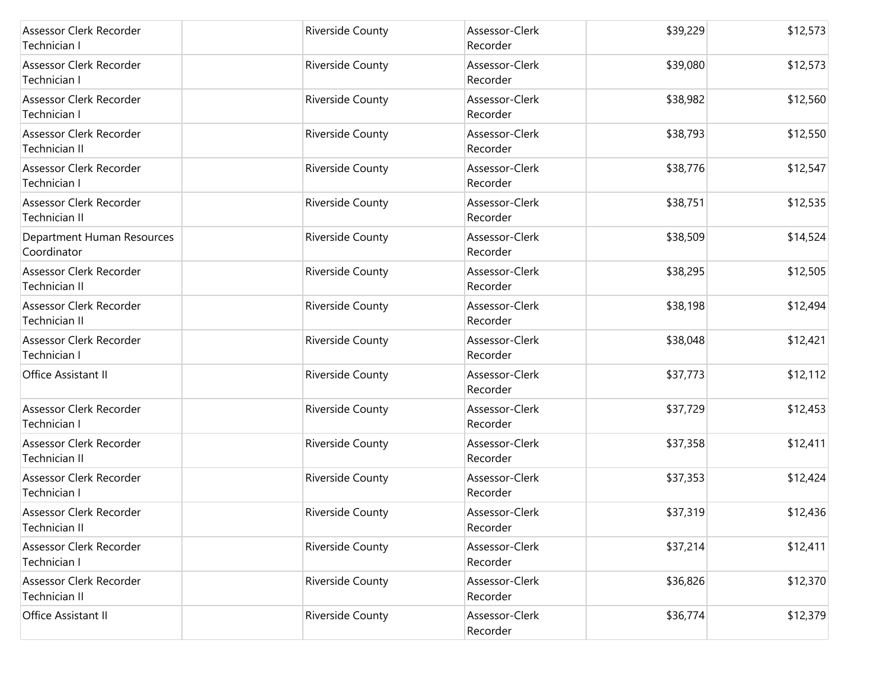| Assessor Clerk Recorder<br>Technician I   | Riverside County | Assessor-Clerk<br>Recorder | \$39,229 | \$12,573 |
|-------------------------------------------|------------------|----------------------------|----------|----------|
| Assessor Clerk Recorder<br>Technician I   | Riverside County | Assessor-Clerk<br>Recorder | \$39,080 | \$12,573 |
| Assessor Clerk Recorder<br>Technician I   | Riverside County | Assessor-Clerk<br>Recorder | \$38,982 | \$12,560 |
| Assessor Clerk Recorder<br>Technician II  | Riverside County | Assessor-Clerk<br>Recorder | \$38,793 | \$12,550 |
| Assessor Clerk Recorder<br>Technician I   | Riverside County | Assessor-Clerk<br>Recorder | \$38,776 | \$12,547 |
| Assessor Clerk Recorder<br>Technician II  | Riverside County | Assessor-Clerk<br>Recorder | \$38,751 | \$12,535 |
| Department Human Resources<br>Coordinator | Riverside County | Assessor-Clerk<br>Recorder | \$38,509 | \$14,524 |
| Assessor Clerk Recorder<br>Technician II  | Riverside County | Assessor-Clerk<br>Recorder | \$38,295 | \$12,505 |
| Assessor Clerk Recorder<br>Technician II  | Riverside County | Assessor-Clerk<br>Recorder | \$38,198 | \$12,494 |
| Assessor Clerk Recorder<br>Technician I   | Riverside County | Assessor-Clerk<br>Recorder | \$38,048 | \$12,421 |
| <b>Office Assistant II</b>                | Riverside County | Assessor-Clerk<br>Recorder | \$37,773 | \$12,112 |
| Assessor Clerk Recorder<br>Technician I   | Riverside County | Assessor-Clerk<br>Recorder | \$37,729 | \$12,453 |
| Assessor Clerk Recorder<br>Technician II  | Riverside County | Assessor-Clerk<br>Recorder | \$37,358 | \$12,411 |
| Assessor Clerk Recorder<br>Technician I   | Riverside County | Assessor-Clerk<br>Recorder | \$37,353 | \$12,424 |
| Assessor Clerk Recorder<br>Technician II  | Riverside County | Assessor-Clerk<br>Recorder | \$37,319 | \$12,436 |
| Assessor Clerk Recorder<br>Technician I   | Riverside County | Assessor-Clerk<br>Recorder | \$37,214 | \$12,411 |
| Assessor Clerk Recorder<br>Technician II  | Riverside County | Assessor-Clerk<br>Recorder | \$36,826 | \$12,370 |
| Office Assistant II                       | Riverside County | Assessor-Clerk<br>Recorder | \$36,774 | \$12,379 |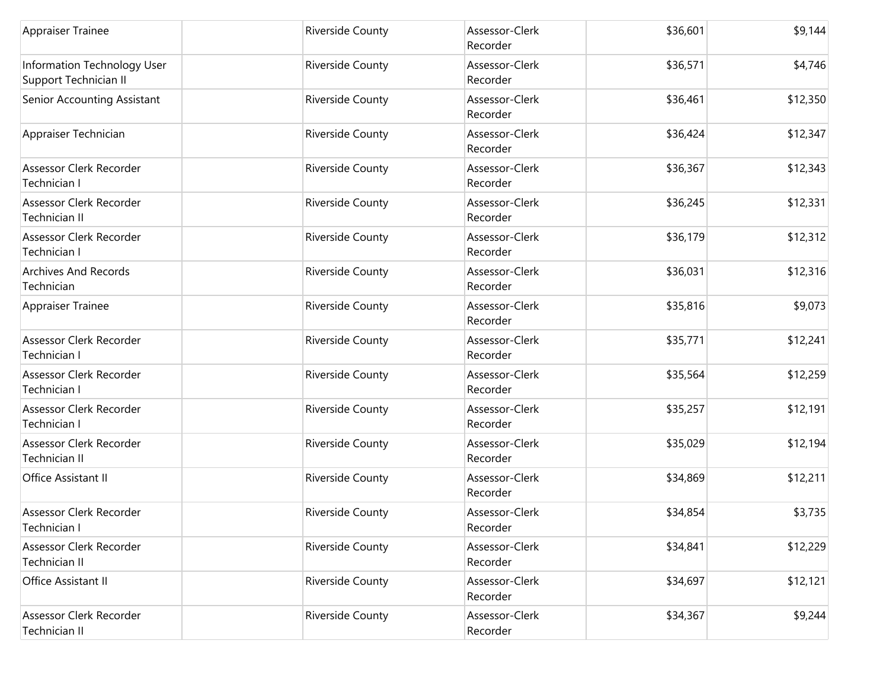| Appraiser Trainee                                    | Riverside County | Assessor-Clerk<br>Recorder | \$36,601 | \$9,144  |
|------------------------------------------------------|------------------|----------------------------|----------|----------|
| Information Technology User<br>Support Technician II | Riverside County | Assessor-Clerk<br>Recorder | \$36,571 | \$4,746  |
| Senior Accounting Assistant                          | Riverside County | Assessor-Clerk<br>Recorder | \$36,461 | \$12,350 |
| Appraiser Technician                                 | Riverside County | Assessor-Clerk<br>Recorder | \$36,424 | \$12,347 |
| Assessor Clerk Recorder<br>Technician I              | Riverside County | Assessor-Clerk<br>Recorder | \$36,367 | \$12,343 |
| Assessor Clerk Recorder<br>Technician II             | Riverside County | Assessor-Clerk<br>Recorder | \$36,245 | \$12,331 |
| Assessor Clerk Recorder<br>Technician I              | Riverside County | Assessor-Clerk<br>Recorder | \$36,179 | \$12,312 |
| <b>Archives And Records</b><br>Technician            | Riverside County | Assessor-Clerk<br>Recorder | \$36,031 | \$12,316 |
| Appraiser Trainee                                    | Riverside County | Assessor-Clerk<br>Recorder | \$35,816 | \$9,073  |
| Assessor Clerk Recorder<br>Technician I              | Riverside County | Assessor-Clerk<br>Recorder | \$35,771 | \$12,241 |
| Assessor Clerk Recorder<br>Technician I              | Riverside County | Assessor-Clerk<br>Recorder | \$35,564 | \$12,259 |
| Assessor Clerk Recorder<br>Technician I              | Riverside County | Assessor-Clerk<br>Recorder | \$35,257 | \$12,191 |
| Assessor Clerk Recorder<br>Technician II             | Riverside County | Assessor-Clerk<br>Recorder | \$35,029 | \$12,194 |
| Office Assistant II                                  | Riverside County | Assessor-Clerk<br>Recorder | \$34,869 | \$12,211 |
| Assessor Clerk Recorder<br>Technician I              | Riverside County | Assessor-Clerk<br>Recorder | \$34,854 | \$3,735  |
| Assessor Clerk Recorder<br>Technician II             | Riverside County | Assessor-Clerk<br>Recorder | \$34,841 | \$12,229 |
| Office Assistant II                                  | Riverside County | Assessor-Clerk<br>Recorder | \$34,697 | \$12,121 |
| Assessor Clerk Recorder<br>Technician II             | Riverside County | Assessor-Clerk<br>Recorder | \$34,367 | \$9,244  |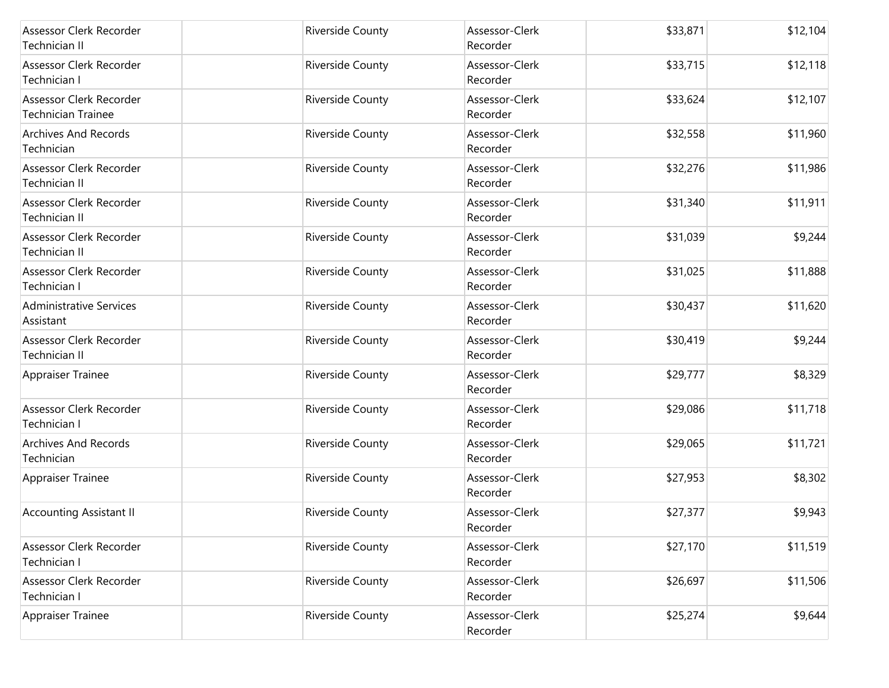| Assessor Clerk Recorder<br>Technician II             | <b>Riverside County</b> | Assessor-Clerk<br>Recorder | \$33,871 | \$12,104 |
|------------------------------------------------------|-------------------------|----------------------------|----------|----------|
| Assessor Clerk Recorder<br>Technician I              | Riverside County        | Assessor-Clerk<br>Recorder | \$33,715 | \$12,118 |
| Assessor Clerk Recorder<br><b>Technician Trainee</b> | Riverside County        | Assessor-Clerk<br>Recorder | \$33,624 | \$12,107 |
| <b>Archives And Records</b><br>Technician            | Riverside County        | Assessor-Clerk<br>Recorder | \$32,558 | \$11,960 |
| Assessor Clerk Recorder<br>Technician II             | Riverside County        | Assessor-Clerk<br>Recorder | \$32,276 | \$11,986 |
| Assessor Clerk Recorder<br>Technician II             | Riverside County        | Assessor-Clerk<br>Recorder | \$31,340 | \$11,911 |
| Assessor Clerk Recorder<br><b>Technician II</b>      | Riverside County        | Assessor-Clerk<br>Recorder | \$31,039 | \$9,244  |
| Assessor Clerk Recorder<br>Technician I              | Riverside County        | Assessor-Clerk<br>Recorder | \$31,025 | \$11,888 |
| <b>Administrative Services</b><br>Assistant          | Riverside County        | Assessor-Clerk<br>Recorder | \$30,437 | \$11,620 |
| Assessor Clerk Recorder<br><b>Technician II</b>      | <b>Riverside County</b> | Assessor-Clerk<br>Recorder | \$30,419 | \$9,244  |
| Appraiser Trainee                                    | Riverside County        | Assessor-Clerk<br>Recorder | \$29,777 | \$8,329  |
| Assessor Clerk Recorder<br>Technician I              | Riverside County        | Assessor-Clerk<br>Recorder | \$29,086 | \$11,718 |
| <b>Archives And Records</b><br>Technician            | Riverside County        | Assessor-Clerk<br>Recorder | \$29,065 | \$11,721 |
| <b>Appraiser Trainee</b>                             | <b>Riverside County</b> | Assessor-Clerk<br>Recorder | \$27,953 | \$8,302  |
| <b>Accounting Assistant II</b>                       | Riverside County        | Assessor-Clerk<br>Recorder | \$27,377 | \$9,943  |
| Assessor Clerk Recorder<br>Technician I              | Riverside County        | Assessor-Clerk<br>Recorder | \$27,170 | \$11,519 |
| Assessor Clerk Recorder<br>Technician I              | Riverside County        | Assessor-Clerk<br>Recorder | \$26,697 | \$11,506 |
| <b>Appraiser Trainee</b>                             | Riverside County        | Assessor-Clerk<br>Recorder | \$25,274 | \$9,644  |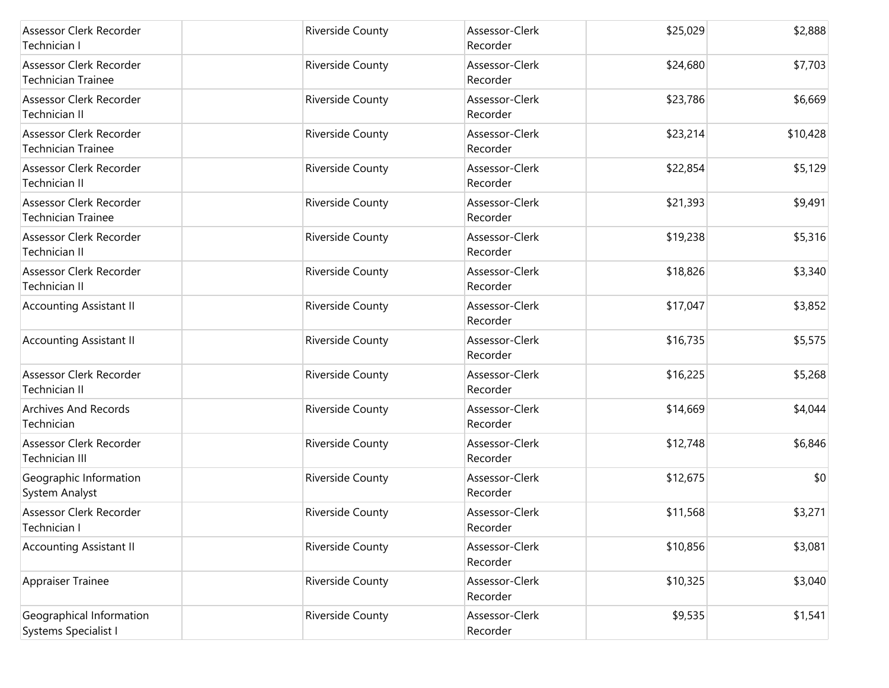| Assessor Clerk Recorder<br>Technician I              | Riverside County        | Assessor-Clerk<br>Recorder | \$25,029 | \$2,888  |
|------------------------------------------------------|-------------------------|----------------------------|----------|----------|
| Assessor Clerk Recorder<br><b>Technician Trainee</b> | <b>Riverside County</b> | Assessor-Clerk<br>Recorder | \$24,680 | \$7,703  |
| Assessor Clerk Recorder<br>Technician II             | Riverside County        | Assessor-Clerk<br>Recorder | \$23,786 | \$6,669  |
| Assessor Clerk Recorder<br><b>Technician Trainee</b> | Riverside County        | Assessor-Clerk<br>Recorder | \$23,214 | \$10,428 |
| Assessor Clerk Recorder<br>Technician II             | Riverside County        | Assessor-Clerk<br>Recorder | \$22,854 | \$5,129  |
| Assessor Clerk Recorder<br><b>Technician Trainee</b> | Riverside County        | Assessor-Clerk<br>Recorder | \$21,393 | \$9,491  |
| Assessor Clerk Recorder<br>Technician II             | Riverside County        | Assessor-Clerk<br>Recorder | \$19,238 | \$5,316  |
| Assessor Clerk Recorder<br>Technician II             | Riverside County        | Assessor-Clerk<br>Recorder | \$18,826 | \$3,340  |
| <b>Accounting Assistant II</b>                       | Riverside County        | Assessor-Clerk<br>Recorder | \$17,047 | \$3,852  |
| <b>Accounting Assistant II</b>                       | Riverside County        | Assessor-Clerk<br>Recorder | \$16,735 | \$5,575  |
| Assessor Clerk Recorder<br>Technician II             | <b>Riverside County</b> | Assessor-Clerk<br>Recorder | \$16,225 | \$5,268  |
| <b>Archives And Records</b><br>Technician            | Riverside County        | Assessor-Clerk<br>Recorder | \$14,669 | \$4,044  |
| Assessor Clerk Recorder<br>Technician III            | Riverside County        | Assessor-Clerk<br>Recorder | \$12,748 | \$6,846  |
| Geographic Information<br>System Analyst             | Riverside County        | Assessor-Clerk<br>Recorder | \$12,675 | \$0      |
| Assessor Clerk Recorder<br>Technician I              | Riverside County        | Assessor-Clerk<br>Recorder | \$11,568 | \$3,271  |
| <b>Accounting Assistant II</b>                       | Riverside County        | Assessor-Clerk<br>Recorder | \$10,856 | \$3,081  |
| <b>Appraiser Trainee</b>                             | Riverside County        | Assessor-Clerk<br>Recorder | \$10,325 | \$3,040  |
| Geographical Information<br>Systems Specialist I     | Riverside County        | Assessor-Clerk<br>Recorder | \$9,535  | \$1,541  |